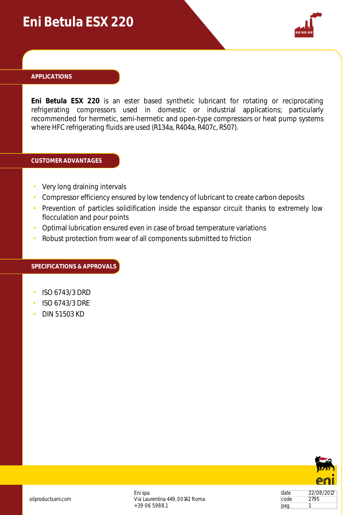## **Eni Betula ESX 220**



#### **APPLICATIONS**

**Eni Betula ESX 220** is an ester based synthetic lubricant for rotating or reciprocating refrigerating compressors used in domestic or industrial applications; particularly recommended for hermetic, semi-hermetic and open-type compressors or heat pump systems where HFC refrigerating fluids are used (R134a, R404a, R407c, R507).

#### **CUSTOMER ADVANTAGES**

- Very long draining intervals
- Compressor efficiency ensured by low tendency of lubricant to create carbon deposits
- Prevention of particles solidification inside the espansor circuit thanks to extremely low flocculation and pour points
- Optimal lubrication ensured even in case of broad temperature variations
- Robust protection from wear of all components submitted to friction

#### **SPECIFICATIONS & APPROVALS**

- ISO 6743/3 DRD
- ISO 6743/3 DRE
- DIN 51503 KD



date 22/08/2017 code 2795  $\vert$ pag. 1

Eni spa Via Laurentina 449, 00142 Roma +39 06 5988.1